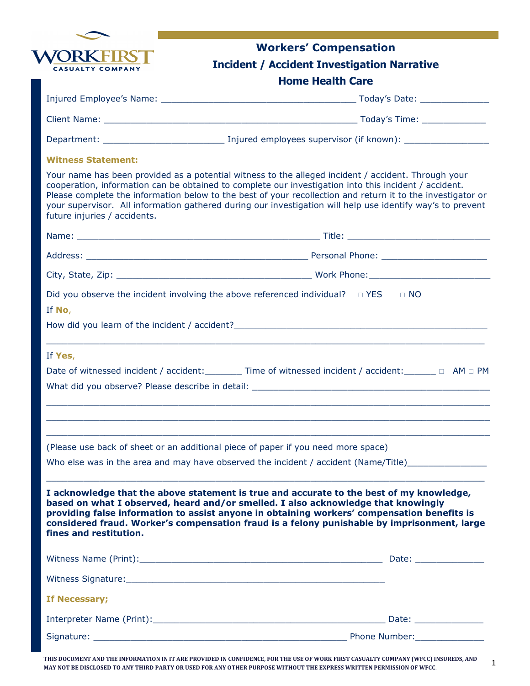| <b>WORKFIRST</b>        |  |
|-------------------------|--|
| <b>CASUALTY COMPANY</b> |  |

## Workers' Compensation

## Incident / Accident Investigation Narrative

## Home Health Care

| <b>Witness Statement:</b>                                                                                                                                                                                                                                                                                                                                                                                                                                                 |                                                                                   |
|---------------------------------------------------------------------------------------------------------------------------------------------------------------------------------------------------------------------------------------------------------------------------------------------------------------------------------------------------------------------------------------------------------------------------------------------------------------------------|-----------------------------------------------------------------------------------|
| Your name has been provided as a potential witness to the alleged incident / accident. Through your<br>cooperation, information can be obtained to complete our investigation into this incident / accident.<br>Please complete the information below to the best of your recollection and return it to the investigator or<br>your supervisor. All information gathered during our investigation will help use identify way's to prevent<br>future injuries / accidents. |                                                                                   |
|                                                                                                                                                                                                                                                                                                                                                                                                                                                                           |                                                                                   |
|                                                                                                                                                                                                                                                                                                                                                                                                                                                                           |                                                                                   |
|                                                                                                                                                                                                                                                                                                                                                                                                                                                                           |                                                                                   |
| Did you observe the incident involving the above referenced individual? $\Box$ YES $\Box$ NO<br>If No,                                                                                                                                                                                                                                                                                                                                                                    |                                                                                   |
| How did you learn of the incident / accident? ___________________________________                                                                                                                                                                                                                                                                                                                                                                                         |                                                                                   |
| If Yes,                                                                                                                                                                                                                                                                                                                                                                                                                                                                   |                                                                                   |
| Date of witnessed incident / accident: _________ Time of witnessed incident / accident: ______ □ AM □ PM                                                                                                                                                                                                                                                                                                                                                                  |                                                                                   |
|                                                                                                                                                                                                                                                                                                                                                                                                                                                                           |                                                                                   |
| What did you observe? Please describe in detail: ________________________________                                                                                                                                                                                                                                                                                                                                                                                         |                                                                                   |
|                                                                                                                                                                                                                                                                                                                                                                                                                                                                           | ,我们也不能在这里的时候,我们也不能在这里的时候,我们也不能会在这里的时候,我们也不能会在这里的时候,我们也不能会在这里的时候,我们也不能会在这里的时候,我们也不 |
|                                                                                                                                                                                                                                                                                                                                                                                                                                                                           |                                                                                   |
| (Please use back of sheet or an additional piece of paper if you need more space)                                                                                                                                                                                                                                                                                                                                                                                         |                                                                                   |
| Who else was in the area and may have observed the incident / accident (Name/Title)                                                                                                                                                                                                                                                                                                                                                                                       |                                                                                   |
| I acknowledge that the above statement is true and accurate to the best of my knowledge,<br>based on what I observed, heard and/or smelled. I also acknowledge that knowingly<br>providing false information to assist anyone in obtaining workers' compensation benefits is<br>considered fraud. Worker's compensation fraud is a felony punishable by imprisonment, large<br>fines and restitution.                                                                     |                                                                                   |
|                                                                                                                                                                                                                                                                                                                                                                                                                                                                           |                                                                                   |
|                                                                                                                                                                                                                                                                                                                                                                                                                                                                           |                                                                                   |
| If Necessary;                                                                                                                                                                                                                                                                                                                                                                                                                                                             |                                                                                   |
|                                                                                                                                                                                                                                                                                                                                                                                                                                                                           |                                                                                   |

THIS DOCUMENT AND THE INFORMATION IN IT ARE PROVIDED IN CONFIDENCE, FOR THE USE OF WORK FIRST CASUALTY COMPANY (WFCC) INSUREDS, AND MAY NOT BE DISCLOSED TO ANY THIRD PARTY OR USED FOR ANY OTHER PURPOSE WITHOUT THE EXPRESS WRITTEN PERMISSION OF WFCC.

Signature: \_\_\_\_\_\_\_\_\_\_\_\_\_\_\_\_\_\_\_\_\_\_\_\_\_\_\_\_\_\_\_\_\_\_\_\_\_\_\_\_\_\_\_\_\_\_\_\_ Phone Number:\_\_\_\_\_\_\_\_\_\_\_\_\_

1